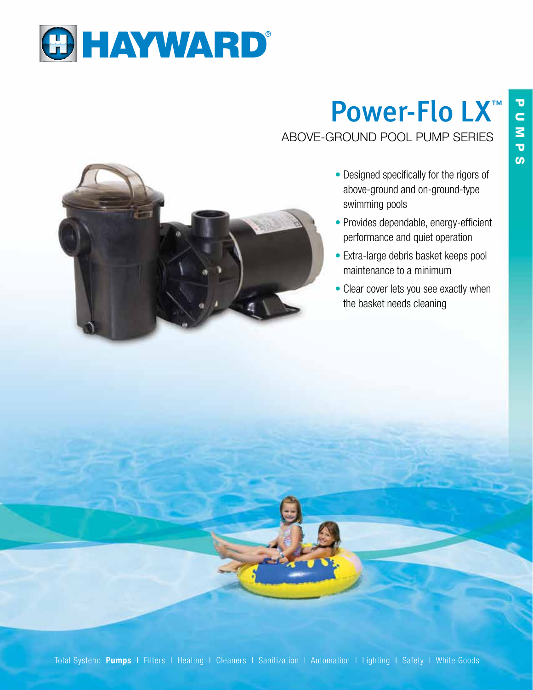

## Power-Flo LX™ ABOVE-GROUND POOL PUMP SERIES



- Designed specifically for the rigors of above-ground and on-ground-type swimming pools
- Provides dependable, energy-efficient performance and quiet operation
- Extra-large debris basket keeps pool maintenance to a minimum
- Clear cover lets you see exactly when the basket needs cleaning